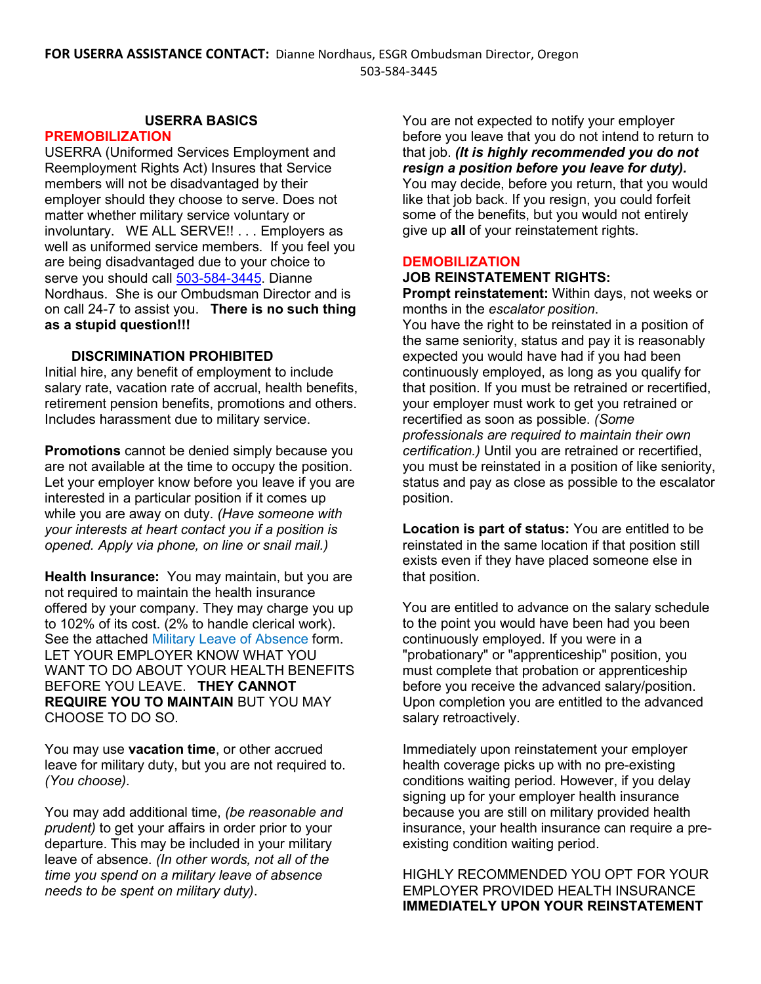## **USERRA BASICS**

## **PREMOBILIZATION**

USERRA (Uniformed Services Employment and Reemployment Rights Act) Insures that Service members will not be disadvantaged by their employer should they choose to serve. Does not matter whether military service voluntary or involuntary. WE ALL SERVE!! . . . Employers as well as uniformed service members. If you feel you are being disadvantaged due to your choice to serve you should call [503-584-3445.](tel:503-584-3445) Dianne Nordhaus. She is our Ombudsman Director and is on call 24-7 to assist you. **There is no such thing as a stupid question!!!**

### **DISCRIMINATION PROHIBITED**

Initial hire, any benefit of employment to include salary rate, vacation rate of accrual, health benefits, retirement pension benefits, promotions and others. Includes harassment due to military service.

**Promotions** cannot be denied simply because you are not available at the time to occupy the position. Let your employer know before you leave if you are interested in a particular position if it comes up while you are away on duty. *(Have someone with your interests at heart contact you if a position is opened. Apply via phone, on line or snail mail.)*

**Health Insurance:** You may maintain, but you are not required to maintain the health insurance offered by your company. They may charge you up to 102% of its cost. (2% to handle clerical work). See the attached Military Leave of Absence form. LET YOUR EMPLOYER KNOW WHAT YOU WANT TO DO ABOUT YOUR HEALTH BENEFITS BEFORE YOU LEAVE. **THEY CANNOT REQUIRE YOU TO MAINTAIN** BUT YOU MAY CHOOSE TO DO SO.

You may use **vacation time**, or other accrued leave for military duty, but you are not required to. *(You choose).*

You may add additional time, *(be reasonable and prudent)* to get your affairs in order prior to your departure. This may be included in your military leave of absence. *(In other words, not all of the time you spend on a military leave of absence needs to be spent on military duty)*.

You are not expected to notify your employer before you leave that you do not intend to return to that job. *(It is highly recommended you do not resign a position before you leave for duty).* You may decide, before you return, that you would like that job back. If you resign, you could forfeit some of the benefits, but you would not entirely give up **all** of your reinstatement rights.

### **DEMOBILIZATION**

# **JOB REINSTATEMENT RIGHTS:**

**Prompt reinstatement:** Within days, not weeks or months in the *escalator position*.

You have the right to be reinstated in a position of the same seniority, status and pay it is reasonably expected you would have had if you had been continuously employed, as long as you qualify for that position. If you must be retrained or recertified, your employer must work to get you retrained or recertified as soon as possible. *(Some professionals are required to maintain their own certification.)* Until you are retrained or recertified, you must be reinstated in a position of like seniority, status and pay as close as possible to the escalator position.

**Location is part of status:** You are entitled to be reinstated in the same location if that position still exists even if they have placed someone else in that position.

You are entitled to advance on the salary schedule to the point you would have been had you been continuously employed. If you were in a "probationary" or "apprenticeship" position, you must complete that probation or apprenticeship before you receive the advanced salary/position. Upon completion you are entitled to the advanced salary retroactively.

Immediately upon reinstatement your employer health coverage picks up with no pre-existing conditions waiting period. However, if you delay signing up for your employer health insurance because you are still on military provided health insurance, your health insurance can require a preexisting condition waiting period.

HIGHLY RECOMMENDED YOU OPT FOR YOUR EMPLOYER PROVIDED HEALTH INSURANCE **IMMEDIATELY UPON YOUR REINSTATEMENT**